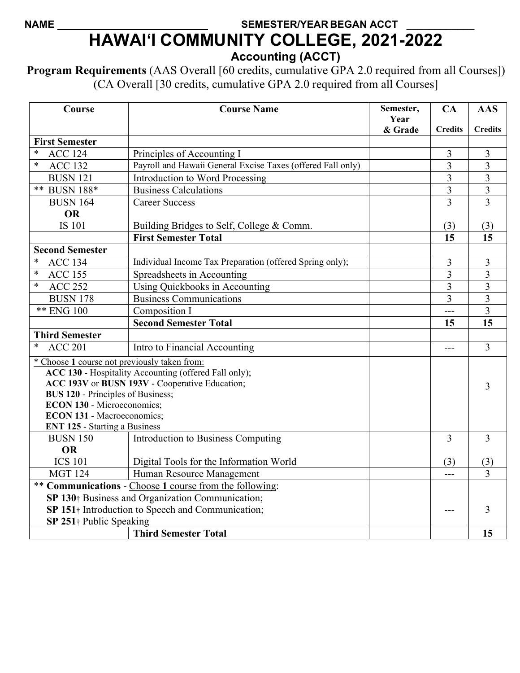## NAME **SEMESTER/YEAR BEGAN ACCT HAWAI'I COMMUNITY COLLEGE, 2021-2022 Accounting (ACCT)**

**Program Requirements** (AAS Overall [60 credits, cumulative GPA 2.0 required from all Courses]) (CA Overall [30 credits, cumulative GPA 2.0 required from all Courses]

| Course                                                        | <b>Course Name</b>                                          | Semester,<br>Year | CA                      | <b>AAS</b>              |
|---------------------------------------------------------------|-------------------------------------------------------------|-------------------|-------------------------|-------------------------|
|                                                               |                                                             | & Grade           | <b>Credits</b>          | <b>Credits</b>          |
| <b>First Semester</b><br>∗                                    |                                                             |                   |                         |                         |
| <b>ACC 124</b>                                                | Principles of Accounting I                                  |                   | 3                       | 3                       |
| <b>ACC 132</b><br>∗                                           | Payroll and Hawaii General Excise Taxes (offered Fall only) |                   | $\overline{3}$          | 3                       |
| <b>BUSN 121</b>                                               | <b>Introduction to Word Processing</b>                      |                   | 3                       | $\overline{\mathbf{3}}$ |
| ** BUSN 188*                                                  | <b>Business Calculations</b>                                |                   | $\overline{\mathbf{3}}$ | $\overline{\mathbf{3}}$ |
| <b>BUSN 164</b>                                               | <b>Career Success</b>                                       |                   | 3                       | 3                       |
| <b>OR</b>                                                     |                                                             |                   |                         |                         |
| <b>IS 101</b>                                                 | Building Bridges to Self, College & Comm.                   |                   | (3)                     | (3)                     |
|                                                               | <b>First Semester Total</b>                                 |                   | 15                      | 15                      |
| <b>Second Semester</b>                                        |                                                             |                   |                         |                         |
| $\ast$<br><b>ACC 134</b>                                      | Individual Income Tax Preparation (offered Spring only);    |                   | 3                       | 3                       |
| $\ast$<br><b>ACC 155</b>                                      | Spreadsheets in Accounting                                  |                   | $\overline{3}$          | 3                       |
| <b>ACC 252</b><br>$\ast$                                      | Using Quickbooks in Accounting                              |                   | $\overline{3}$          | $\overline{3}$          |
| <b>BUSN 178</b>                                               | <b>Business Communications</b>                              |                   | 3                       | 3                       |
| ** ENG 100                                                    | Composition I                                               |                   | ---                     | $\overline{3}$          |
|                                                               | <b>Second Semester Total</b>                                |                   | 15                      | 15                      |
| <b>Third Semester</b>                                         |                                                             |                   |                         |                         |
| <b>ACC 201</b>                                                | Intro to Financial Accounting                               |                   | $---$                   | $\overline{3}$          |
| * Choose 1 course not previously taken from:                  |                                                             |                   |                         |                         |
| ACC 130 - Hospitality Accounting (offered Fall only);         |                                                             |                   |                         |                         |
| ACC 193V or BUSN 193V - Cooperative Education;<br>3           |                                                             |                   |                         |                         |
| <b>BUS 120 - Principles of Business;</b>                      |                                                             |                   |                         |                         |
| <b>ECON 130 - Microeconomics;</b>                             |                                                             |                   |                         |                         |
| <b>ECON 131 - Macroeconomics;</b>                             |                                                             |                   |                         |                         |
| <b>ENT 125 - Starting a Business</b>                          |                                                             |                   |                         |                         |
| <b>BUSN 150</b>                                               | Introduction to Business Computing                          |                   | 3                       | $\overline{3}$          |
| <b>OR</b>                                                     |                                                             |                   |                         |                         |
| <b>ICS 101</b>                                                | Digital Tools for the Information World                     |                   | (3)                     | (3)                     |
| <b>MGT 124</b>                                                | Human Resource Management                                   |                   |                         | 3                       |
| ** Communications - Choose 1 course from the following:       |                                                             |                   |                         |                         |
| SP 130 <sup>+</sup> Business and Organization Communication;  |                                                             |                   |                         |                         |
| SP 151 <sup>+</sup> Introduction to Speech and Communication; |                                                             |                   |                         | 3                       |
| SP 251† Public Speaking                                       |                                                             |                   |                         |                         |
|                                                               | <b>Third Semester Total</b>                                 |                   |                         | 15                      |